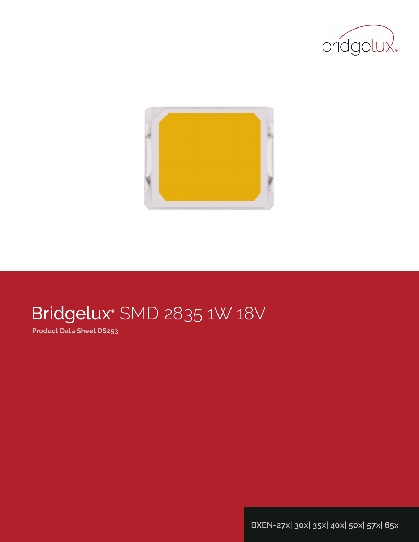



# Bridgelux® SMD 2835 1W 18V

**Product Data Sheet DS253**

**BXEN-27x| 30x| 35x| 40x| 50x| 57x| 65x**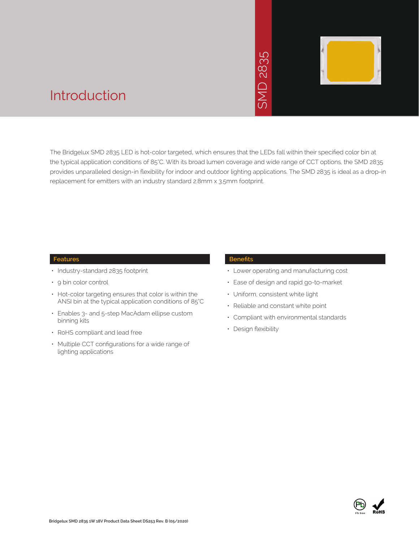# 2835  $\overline{\bigcap}$ JINS



### Introduction

The Bridgelux SMD 2835 LED is hot-color targeted, which ensures that the LEDs fall within their specified color bin at the typical application conditions of 85°C. With its broad lumen coverage and wide range of CCT options, the SMD 2835 provides unparalleled design-in flexibility for indoor and outdoor lighting applications. The SMD 2835 is ideal as a drop-in replacement for emitters with an industry standard 2.8mm x 3.5mm footprint. • Net the LEDs for the SMD 2836<br>
• Respective and wide<br>
• Lighting application<br>
• Constant Construction<br>
• Constant Constant<br>
• Constant Constant<br>
• Compliant with e<br>
• Design flexibility<br>
• Design flexibility

#### **Features**

- Industry-standard 2835 footprint
- 9 bin color control
- Hot-color targeting ensures that color is within the ANSI bin at the typical application conditions of 85°C
- Enables 3- and 5-step MacAdam ellipse custom binning kits
- RoHS compliant and lead free
- Multiple CCT configurations for a wide range of lighting applications

#### **Benefits**

- Lower operating and manufacturing cost
- Ease of design and rapid go-to-market
- Uniform, consistent white light
- Reliable and constant white point
- Compliant with environmental standards
- · Design flexibility

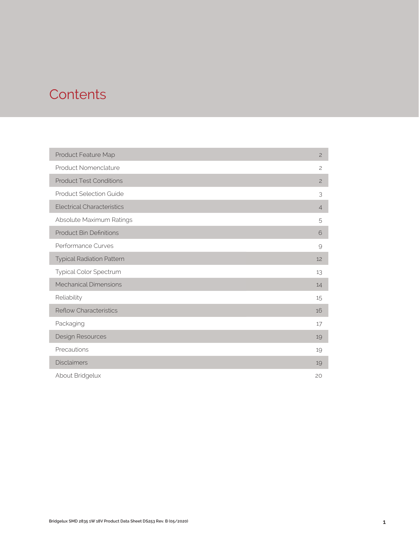# **Contents**

| Product Feature Map               | $\overline{c}$ |
|-----------------------------------|----------------|
| Product Nomenclature              | $\overline{c}$ |
| <b>Product Test Conditions</b>    | $\overline{c}$ |
| <b>Product Selection Guide</b>    | 3              |
| <b>Electrical Characteristics</b> | $\overline{4}$ |
| Absolute Maximum Ratings          | 5              |
| <b>Product Bin Definitions</b>    | 6              |
| Performance Curves                | 9              |
| <b>Typical Radiation Pattern</b>  | 12             |
| Typical Color Spectrum            | 13             |
| <b>Mechanical Dimensions</b>      | 14             |
| Reliability                       | 15             |
| <b>Reflow Characteristics</b>     | 16             |
| Packaging                         | 17             |
| Design Resources                  | 19             |
| Precautions                       | 19             |
| <b>Disclaimers</b>                | 19             |
| About Bridgelux                   | 20             |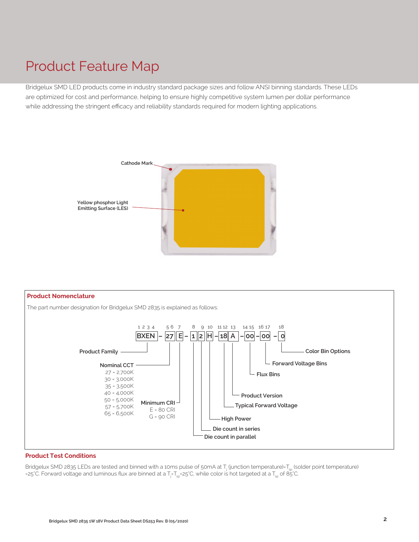# Product Feature Map

Bridgelux SMD LED products come in industry standard package sizes and follow ANSI binning standards. These LEDs are optimized for cost and performance, helping to ensure highly competitive system lumen per dollar performance while addressing the stringent efficacy and reliability standards required for modern lighting applications.





#### **Product Test Conditions**

Bridgelux SMD 2835 LEDs are tested and binned with a 10ms pulse of 50mA at T<sub>j</sub> (junction temperature)=T<sub>sp</sub> (solder point temperature) =25°C. Forward voltage and luminous flux are binned at a T<sub>j</sub>-T<sub>sp</sub>=25°C, while color is hot targeted at a T<sub>sp</sub> of 85°C.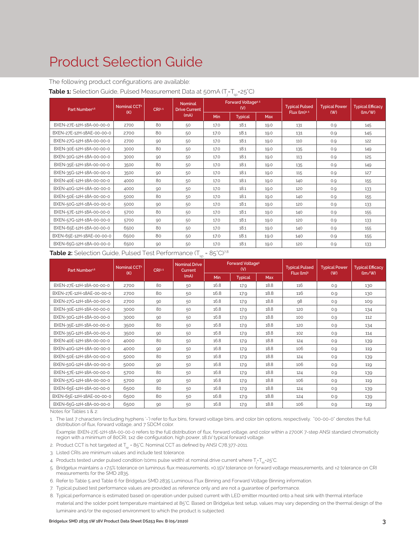# Product Selection Guide

The following product configurations are available:

#### **Table 1:** Selection Guide, Pulsed Measurement Data at 50mA (T<sub>j</sub>=T<sub>sp</sub>=25°C)

| Part Number <sup>1,6</sup> | Nominal CCT <sup>2</sup> | CRI3.5 | <b>Nominal</b><br><b>Drive Current</b> |      | Forward Voltage <sup>4.5</sup><br>(V) |      | <b>Typical Pulsed</b> | <b>Typical Power</b> | <b>Typical Efficacy</b> |
|----------------------------|--------------------------|--------|----------------------------------------|------|---------------------------------------|------|-----------------------|----------------------|-------------------------|
|                            | (K)                      |        | (mA)                                   | Min  | <b>Typical</b>                        | Max  | Flux (lm)4.5          | $($ W $)$            | (lm/W)                  |
| BXEN-27E-12H-18A-00-00-0   | 2700                     | 80     | 50                                     | 17.0 | 18.1                                  | 19.0 | 131                   | 0.9                  | 145                     |
| BXEN-27E-12H-18AE-00-00-0  | 2700                     | 80     | 50                                     | 17.0 | 18.1                                  | 19.0 | 131                   | 0.9                  | 145                     |
| BXEN-27G-12H-18A-00-00-0   | 2700                     | 90     | 50                                     | 17.0 | 18.1                                  | 19.0 | 110                   | 0.9                  | 122                     |
| BXEN-30E-12H-18A-00-00-0   | 3000                     | 80     | 50                                     | 17.0 | 18.1                                  | 19.0 | 135                   | 0.9                  | 149                     |
| BXEN-30G-12H-18A-00-00-0   | 3000                     | 90     | 50                                     | 17.0 | 18.1                                  | 19.0 | 113                   | 0.9                  | 125                     |
| BXEN-35E-12H-18A-00-00-0   | 3500                     | 80     | 50                                     | 17.0 | 18.1                                  | 19.0 | 135                   | 0.9                  | 149                     |
| BXEN-35G-12H-18A-00-00-0   | 3500                     | 90     | 50                                     | 17.0 | 18.1                                  | 19.0 | 115                   | 0.9                  | 127                     |
| BXEN-40E-12H-18A-00-00-0   | 4000                     | 80     | 50                                     | 17.0 | 18.1                                  | 19.0 | 140                   | 0.9                  | 155                     |
| BXEN-40G-12H-18A-00-00-0   | 4000                     | 90     | 50                                     | 17.0 | 18.1                                  | 19.0 | 120                   | 0.9                  | 133                     |
| BXEN-50E-12H-18A-00-00-0   | 5000                     | 80     | 50                                     | 17.0 | 18.1                                  | 19.0 | 140                   | 0.9                  | 155                     |
| BXEN-50G-12H-18A-00-00-0   | 5000                     | 90     | 50                                     | 17.0 | 18.1                                  | 19.0 | 120                   | 0.9                  | 133                     |
| BXEN-57E-12H-18A-00-00-0   | 5700                     | 80     | 50                                     | 17.0 | 18.1                                  | 19.0 | 140                   | 0.9                  | 155                     |
| BXEN-57G-12H-18A-00-00-0   | 5700                     | 90     | 50                                     | 17.0 | 18.1                                  | 19.0 | 120                   | 0.9                  | 133                     |
| BXEN-65E-12H-18A-00-00-0   | 6500                     | 80     | 50                                     | 17.0 | 18.1                                  | 19.0 | 140                   | 0.9                  | 155                     |
| BXEN-65E-12H-18AE-00-00-0  | 6500                     | 80     | 50                                     | 17.0 | 18.1                                  | 19.0 | 140                   | O.9                  | 155                     |
| BXEN-65G-12H-18A-00-00-0   | 6500                     | 90     | 50                                     | 17.0 | 18.1                                  | 19.0 | 120                   | 0.9                  | 133                     |

#### **Table 2:** Selection Guide, Pulsed Test Performance (T<sub>sp</sub> = 85°C)<sup>7,8</sup>

| Part Number <sup>1,6</sup> | Nominal CCT <sup>2</sup> | CRI3.5 | <b>Nominal Drive</b><br>Current |            | <b>Forward Voltages</b><br>(V) |            | <b>Typical Pulsed</b>  | <b>Typical Power</b> | <b>Typical Efficacy</b> |
|----------------------------|--------------------------|--------|---------------------------------|------------|--------------------------------|------------|------------------------|----------------------|-------------------------|
|                            | (K)                      |        | (mA)                            | <b>Min</b> | <b>Typical</b>                 | <b>Max</b> | Flux (lm) <sup>5</sup> | (W)                  | (lm/W)                  |
| BXEN-27E-12H-18A-00-00-0   | 2700                     | 80     | 50                              | 16.8       | 17.9                           | 18.8       | 116                    | 0.9                  | 130                     |
| BXEN-27E-12H-18AE-00-00-0  | 2700                     | 80     | 50                              | 16.8       | 17.9                           | 18.8       | 116                    | O.9                  | 130                     |
| BXEN-27G-12H-18A-00-00-0   | 2700                     | 90     | 50                              | 16.8       | 17.9                           | 18.8       | 98                     | 0.9                  | 109                     |
| BXEN-30E-12H-18A-00-00-0   | 3000                     | 80     | 50                              | 16.8       | 17.9                           | 18.8       | 120                    | 0.9                  | 134                     |
| BXEN-30G-12H-18A-00-00-0   | 3000                     | 90     | 50                              | 16.8       | 17.9                           | 18.8       | 100                    | O.Q                  | 112                     |
| BXEN-35E-12H-18A-00-00-0   | 3500                     | 80     | 50                              | 16.8       | 17.9                           | 18.8       | 120                    | 0.9                  | 134                     |
| BXEN-35G-12H-18A-00-00-0   | 3500                     | 90     | 50                              | 16.8       | 17.9                           | 18.8       | 102                    | 0.9                  | 114                     |
| BXEN-40E-12H-18A-00-00-0   | 4000                     | 80     | 50                              | 16.8       | 17.9                           | 18.8       | 124                    | 0.9                  | 139                     |
| BXEN-40G-12H-18A-00-00-0   | 4000                     | 90     | 50                              | 16.8       | 17.9                           | 18.8       | 106                    | 0.9                  | 119                     |
| BXEN-50E-12H-18A-00-00-0   | 5000                     | 80     | 50                              | 16.8       | 17.9                           | 18.8       | 124                    | 0.9                  | 139                     |
| BXEN-50G-12H-18A-00-00-0   | 5000                     | 90     | 50                              | 16.8       | 17.9                           | 18.8       | 106                    | 0.9                  | 119                     |
| BXEN-57E-12H-18A-00-00-0   | 5700                     | 80     | 50                              | 16.8       | 17.9                           | 18.8       | 124                    | 0.9                  | 139                     |
| BXEN-57G-12H-18A-00-00-0   | 5700                     | 90     | 50                              | 16.8       | 17.9                           | 18.8       | 106                    | 0.9                  | 119                     |
| BXEN-65E-12H-18A-00-00-0   | 6500                     | 80     | 50                              | 16.8       | 17.9                           | 18.8       | 124                    | 0.9                  | 139                     |
| BXEN-65E-12H-18AE-00-00-0  | 6500                     | 80     | 50                              | 16.8       | 17.9                           | 18.8       | 124                    | 0.9                  | 139                     |
| BXEN-65G-12H-18A-00-00-0   | 6500                     | 90     | 50                              | 16.8       | 17.9                           | 18.8       | 106                    | 0.9                  | 119                     |

Notes for Tables 1 & 2:

1. The last 7 characters (including hyphens '-') refer to flux bins, forward voltage bins, and color bin options, respectively. "00-00-0" denotes the full distribution of flux, forward voltage, and 7 SDCM color.

 Example: BXEN-27E-12H-18A-00-00-0 refers to the full distribution of flux, forward voltage, and color within a 2700K 7-step ANSI standard chromaticity region with a minimum of 80CRI, 1x2 die configuration, high power, 18.1V typical forward voltage.

2. Product CCT is hot targeted at  $T_{sp}$  = 85°C. Nominal CCT as defined by ANSI C78.377-2011.

- 3. Listed CRIs are minimum values and include test tolerance.
- 4. Products tested under pulsed condition (10ms pulse width) at nominal drive current where T<sub>j</sub>=T<sub>sp</sub>=25°C.
- 5. Bridgelux maintains a ±7.5% tolerance on luminous flux measurements, ±0.15V tolerance on forward voltage measurements, and ±2 tolerance on CRI measurements for the SMD 2835.
- 6. Refer to Table 5 and Table 6 for Bridgelux SMD 2835 Luminous Flux Binning and Forward Voltage Binning information.
- 7. Typical pulsed test performance values are provided as reference only and are not a guarantee of performance.
- 8. Typical performance is estimated based on operation under pulsed current with LED emitter mounted onto a heat sink with thermal interface material and the solder point temperature maintained at 85°C. Based on Bridgelux test setup, values may vary depending on the thermal design of the luminaire and/or the exposed environment to which the product is subjected.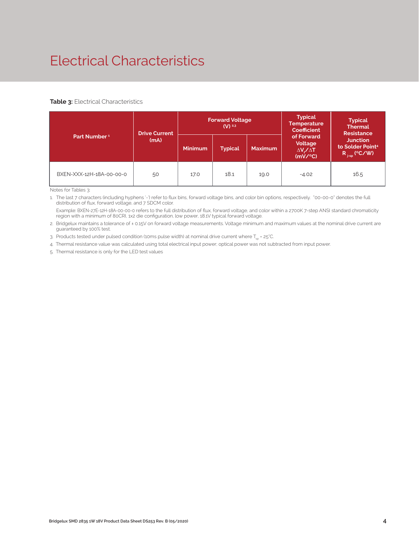# Electrical Characteristics

#### **Table 3: Electrical Characteristics**

|                          | <b>Drive Current</b> |                | <b>Forward Voltage</b><br>$(V)$ <sup>2.3</sup> |                | <b>Typical</b><br><b>Temperature</b><br><b>Coefficient</b>  | <b>Typical</b><br><b>Thermal</b><br><b>Resistance</b>                |
|--------------------------|----------------------|----------------|------------------------------------------------|----------------|-------------------------------------------------------------|----------------------------------------------------------------------|
| Part Number <sup>1</sup> | (mA)                 | <b>Minimum</b> | <b>Typical</b>                                 | <b>Maximum</b> | of Forward<br>Voltage<br>$\Delta V \sim \Delta T$<br>(mV/C) | <b>Junction</b><br>to Solder Point <sup>4</sup><br>$R_{j-sp}$ (°C/W) |
| BXEN-XXX-12H-18A-00-00-0 | 50                   | 17.0           | 18.1                                           | 19.0           | $-4.02$                                                     | 16.5                                                                 |

Notes for Tables 3:

1. The last 7 characters (including hyphens '-') refer to flux bins, forward voltage bins, and color bin options, respectively. "00-00-0" denotes the full distribution of flux, forward voltage, and 7 SDCM color.

 Example: BXEN-27E-12H-18A-00-00-0 refers to the full distribution of flux, forward voltage, and color within a 2700K 7-step ANSI standard chromaticity region with a minimum of 80CRI, 1x2 die configuration, low power, 18.1V typical forward voltage.

2. Bridgelux maintains a tolerance of ± 0.15V on forward voltage measurements. Voltage minimum and maximum values at the nominal drive current are guaranteed by 100% test.

3. Products tested under pulsed condition (10ms pulse width) at nominal drive current where  $T_{ss}$  = 25°C.

4. Thermal resistance value was calculated using total electrical input power; optical power was not subtracted from input power.

5. Thermal resistance is only for the LED test values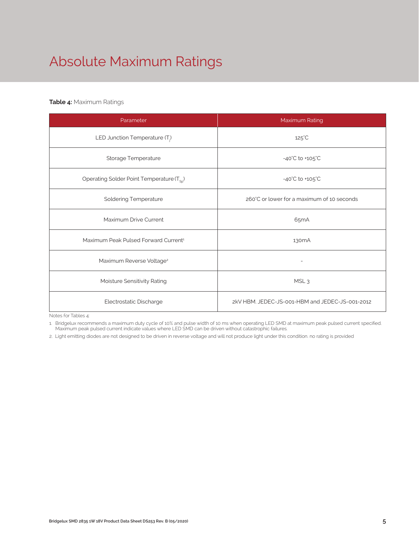# Absolute Maximum Ratings

#### **Table 4:** Maximum Ratings

| Parameter                                             | Maximum Rating                                  |  |  |  |
|-------------------------------------------------------|-------------------------------------------------|--|--|--|
| LED Junction Temperature (T <sub>i</sub> )            | $125^{\circ}$ C                                 |  |  |  |
| Storage Temperature                                   | $-40^{\circ}$ C to $+105^{\circ}$ C             |  |  |  |
| Operating Solder Point Temperature (T <sub>Sp</sub> ) | $-40^{\circ}$ C to $+105^{\circ}$ C             |  |  |  |
| <b>Soldering Temperature</b>                          | 260°C or lower for a maximum of 10 seconds      |  |  |  |
| Maximum Drive Current                                 | 65mA                                            |  |  |  |
| Maximum Peak Pulsed Forward Current <sup>1</sup>      | 130 <sub>m</sub> A                              |  |  |  |
| Maximum Reverse Voltage <sup>2</sup>                  |                                                 |  |  |  |
| Moisture Sensitivity Rating                           | MSL <sub>3</sub>                                |  |  |  |
| Electrostatic Discharge                               | 2kV HBM, JEDEC-JS-001-HBM and JEDEC-JS-001-2012 |  |  |  |

Notes for Tables 4:

1. Bridgelux recommends a maximum duty cycle of 10% and pulse width of 10 ms when operating LED SMD at maximum peak pulsed current specified. Maximum peak pulsed current indicate values where LED SMD can be driven without catastrophic failures.

2. Light emitting diodes are not designed to be driven in reverse voltage and will not produce light under this condition. no rating is provided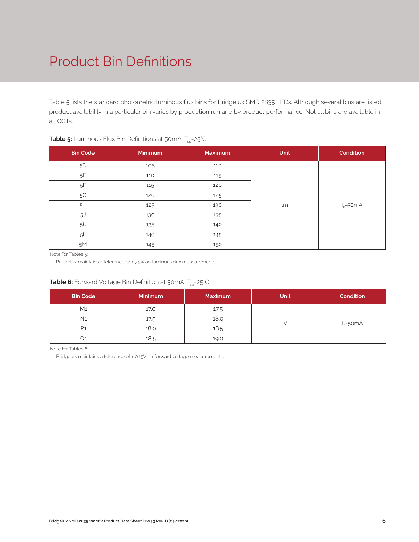# Product Bin Definitions

Table 5 lists the standard photometric luminous flux bins for Bridgelux SMD 2835 LEDs. Although several bins are listed, product availability in a particular bin varies by production run and by product performance. Not all bins are available in all CCTs.

| <b>Bin Code</b> | Minimum | <b>Maximum</b> | <b>Unit</b> | <b>Condition</b> |
|-----------------|---------|----------------|-------------|------------------|
| $5\mathsf{D}$   | 105     | 110            |             |                  |
| 5E              | 110     | 115            |             |                  |
| $5\mathsf{F}$   | 115     | 120            |             |                  |
| 5G              | 120     | 125            |             |                  |
| 5H              | 125     | 130            | lm          | $I_F = 50mA$     |
| 5J              | 130     | 135            |             |                  |
| $5\%$           | 135     | 140            |             |                  |
| 5L              | 140     | 145            |             |                  |
| 5M              | 145     | 150            |             |                  |

#### **Table 5:** Luminous Flux Bin Definitions at 50mA, T<sub>sp</sub>=25°C

Note for Tables 5:

1. Bridgelux maintains a tolerance of ±7.5% on luminous flux measurements.

#### **Table 6:** Forward Voltage Bin Definition at 50mA, T<sub>sp</sub>=25°C

| <b>Bin Code</b> | <b>Minimum</b> | <b>Maximum</b> | <b>Unit</b> | <b>Condition</b> |
|-----------------|----------------|----------------|-------------|------------------|
| M <sub>1</sub>  | 17.0           | 17.5           |             |                  |
| N <sub>1</sub>  | 17.5           | 18.0           |             |                  |
| P1              | 18.0           | 18.5           |             | $I_F = 50mA$     |
|                 | 18.5           | 19.0           |             |                  |

Note for Tables 6:

1. Bridgelux maintains a tolerance of ± 0.15V on forward voltage measurements.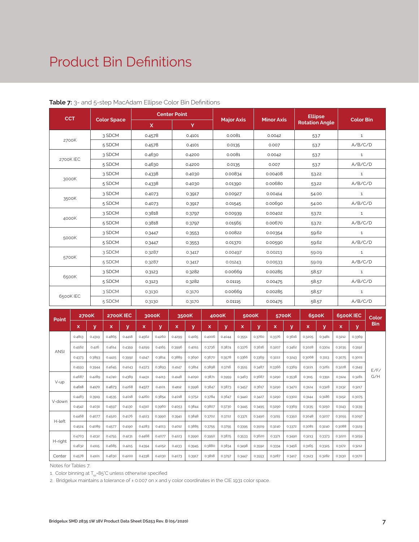### Product Bin Definitions

| <b>CCT</b> |                    |             | <b>Center Point</b> |                   | <b>Minor Axis</b> | <b>Ellipse</b>        | <b>Color Bin</b> |
|------------|--------------------|-------------|---------------------|-------------------|-------------------|-----------------------|------------------|
|            | <b>Color Space</b> | $\mathbf x$ | Y                   | <b>Major Axis</b> |                   | <b>Rotation Angle</b> |                  |
| 2700K      | 3 SDCM             | 0.4578      | 0.4101              | 0.0081            | 0.0042            | 53.7                  | $\mathbf 1$      |
|            | 5 SDCM             | 0.4578      | 0.4101              | 0.0135            | 0.007             | 53.7                  | A/B/C/D          |
|            | 3 SDCM             | 0.4630      | 0.4200              | 0.0081            | 0.0042            | 53.7                  | $\mathbf{1}$     |
| 2700K IEC  | 5 SDCM             | 0.4630      | 0.4200              | 0.0135            | 0.007             | 53.7                  | A/B/C/D          |
|            | 3 SDCM             | 0.4338      | 0.4030              | 0.00834           | 0.00408           | 53.22                 | $\mathbf{1}$     |
| 3000K      | 5 SDCM             | 0.4338      | 0.4030              | 0.01390           | 0.00680           | 53.22                 | A/B/C/D          |
|            | 3 SDCM             | 0.4073      | 0.3917              | 0.00927           | 0.00414           | 54.00                 | $\mathbf{1}$     |
| 3500K      | 5 SDCM             | 0.4073      | 0.3917              | 0.01545           | 0.00690           | 54.00                 | A/B/C/D          |
|            | 3 SDCM             | 0.3818      | 0.3797              | 0.00939           | 0.00402           | 53.72                 | $\mathbf{1}$     |
| 4000K      | 5 SDCM             | 0.3818      | 0.3797              | 0.01565           | 0.00670           | 53.72                 | A/B/C/D          |
|            | 3 SDCM             | 0.3447      | 0.3553              | 0.00822           | 0.00354           | 59.62                 | $\mathbf{1}$     |
| 5000K      | 5 SDCM             | 0.3447      | 0.3553              | 0.01370           | 0.00590           | 59.62                 | A/B/C/D          |
|            | 3 SDCM             | 0.3287      | 0.3417              | 0.00497           | 0.00213           | 59.09                 | $\mathbf{1}$     |
| 5700K      | 5 SDCM             | 0.3287      | 0.3417              | 0.01243           | 0.00533           | 59.09                 | A/B/C/D          |
|            | 3 SDCM             | 0.3123      | 0.3282              | 0.00669           | 0.00285           | 58.57                 | $\mathbf{1}$     |
| 6500K      | 5 SDCM             | 0.3123      | 0.3282              | 0.01115           | 0.00475           | 58.57                 | A/B/C/D          |
|            | 3 SDCM             | 0.3130      | 0.3170              | 0.00669           | 0.00285           | 58.57                 | $\mathbf{1}$     |
| 6500K IEC  | 5 SDCM             | 0.3130      | 0.3170              | 0.01115           | 0.00475           | 58.57                 | A/B/C/D          |

#### **Table 7:** 3- and 5-step MacAdam Ellipse Color Bin Definitions

| Point       |        | <b>2700K</b> |        | 2700K IEC |        | 3000K  |        | 3500K  |        | 4000K  |        | 5000K  |        | 5700K  |        | 6500K  |        | 6500K IEC | Color      |
|-------------|--------|--------------|--------|-----------|--------|--------|--------|--------|--------|--------|--------|--------|--------|--------|--------|--------|--------|-----------|------------|
|             | x      | У            | x      | y         | x      | v      | x      | У      | x      | У      | x      | y      | x      | ۷      | x      | v      | x      | v         | <b>Bin</b> |
|             | 0.4813 | 0.4319       | 0.4865 | 0.4418    | 0.4562 | 0.4260 | 0.4299 | 0.4165 | 0.4006 | 0.4044 | 0.3551 | 0.3760 | 0.3376 | 0.3616 | 0.3205 | 0.3481 | 0.3212 | 0.3369    |            |
| <b>ANSI</b> | 0.4562 | 0.426        | 0.4614 | 0.4359    | 0.4299 | 0.4165 | 0.3996 | 0.4015 | 0.3736 | 0.3874 | 0.3376 | 0.3616 | 0.3207 | 0.3462 | 0.3028 | 0.3304 | 0.3035 | 0.3192    |            |
|             | 0.4373 | 0.3893       | 0.4425 | 0.3992    | 0.4147 | 0.3814 | 0.3889 | 0.3690 | 0.3670 | 0.3578 | 0.3366 | 0.3369 | 0.3222 | 0.3243 | 0.3068 | 0.3113 | 0.3075 | 0.3001    |            |
|             | 0.4593 | 0.3944       | 0.4645 | 0.4043    | 0.4373 | 0.3893 | 0.4147 | 0.3814 | 0.3898 | 0.3716 | 0.3515 | 0.3487 | 0.3366 | 0.3369 | 0.3221 | 0.3261 | 0.3228 | 0.3149    | E/F/       |
|             | 0.4687 | 0.4289       | 0.4740 | 0.4389    | 0.4431 | 0.4213 | 0.4148 | 0.4090 | 0.3871 | 0.3959 | 0.3463 | 0.3687 | 0.3290 | 0.3538 | 0.3115 | 0.3391 | 0.3124 | 0.3281    | G/H        |
| V-up        | 0.4618 | 0.4170       | 0.4673 | 0.4268    | 0.4377 | 0.4101 | 0.4112 | 0.3996 | 0.3847 | 0.3873 | 0.3457 | 0.3617 | 0.3290 | 0.3470 | 0.3124 | 0.3328 | 0.3132 | 0.3217    |            |
| V-down      | 0.4483 | 0.3919       | 0.4535 | 0.4018    | 0.4260 | 0.3854 | 0.4018 | 0.3752 | 0.3784 | 0.3647 | 0.3440 | 0.3427 | 0.3290 | 0.3300 | 0.3144 | 0.3186 | 0.3152 | 0.3075    |            |
|             | 0.4542 | 0.4031       | 0.4597 | 0.4130    | 0.4310 | 0.3960 | 0.4053 | 0.3844 | 0.3807 | 0.3730 | 0.3445 | 0.3495 | 0.3290 | 0.3369 | 0.3135 | 0.3250 | 0.3143 | 0.3139    |            |
| H-left      | 0.4468 | 0.4077       | 0.4520 | 0.4176    | 0.4223 | 0.3990 | 0.3941 | 0.3848 | 0.3702 | 0.3722 | 0.3371 | 0.3490 | 0.3215 | 0.3350 | 0.3048 | 0.3207 | 0.3055 | 0.3097    |            |
|             | 0.4524 | 0.4089       | 0.4577 | 0.4190    | 0.4283 | 0.4013 | 0.4012 | 0.3885 | 0.3755 | 0.3755 | 0.3395 | 0.3509 | 0.3240 | 0.3372 | 0.3081 | 0.3240 | 0.3088 | 0.3129    |            |
|             | 0.4703 | 0.4132       | 0.4755 | 0.4231    | 0.4468 | 0.4077 | 0.4223 | 0.3990 | 0.3950 | 0.3875 | 0.3533 | 0.3620 | 0.3371 | 0.3490 | 0.3213 | 0.3373 | 0.3220 | 0.3259    |            |
| H-right     | 0.4632 | 0.4115       | 0.4685 | 0.4215    | 0.4394 | 0.4052 | 0.4133 | 0.3945 | 0.3880 | 0.3834 | 0.3498 | 0.3592 | 0.3334 | 0.3456 | 0.3165 | 0.3325 | 0.3172 | 0.3212    |            |
| Center      | 0.4578 | 0.4101       | 0.4630 | 0.4200    | 0.4338 | 0.4030 | 0.4073 | 0.3917 | 0.3818 | 0.3797 | 0.3447 | 0.3553 | 0.3287 | 0.3417 | 0.3123 | 0.3282 | 0.3130 | 0.3170    |            |

Notes for Tables 7:

1. Color binning at  $T_{\rm so}$ =85°C unless otherwise specified

2. Bridgelux maintains a tolerance of ± 0.007 on x and y color coordinates in the CIE 1931 color space.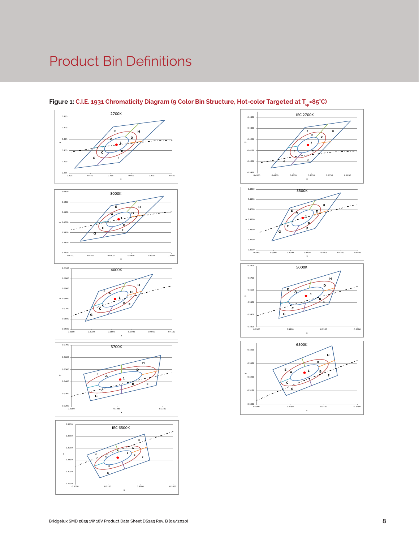# Product Bin Definitions











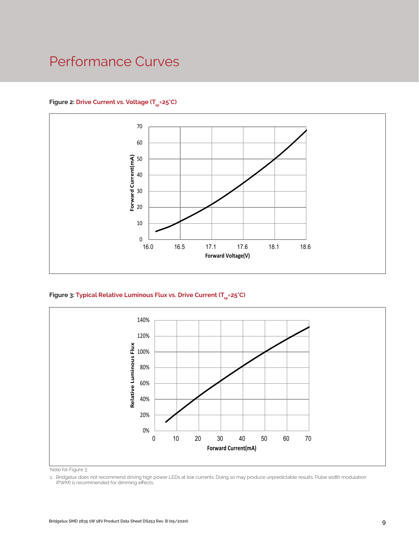### Performance Curves

#### Figure 2: Drive Current vs. Voltage (T<sub>SD</sub>=25°C)



Figure 3: Typical Relative Luminous Flux vs. Drive Current (T<sub>sp</sub>=25°C)



Note for Figure 3:

1. Bridgelux does not recommend driving high power LEDs at low currents. Doing so may produce unpredictable results. Pulse width modulation (PWM) is recommended for dimming effects.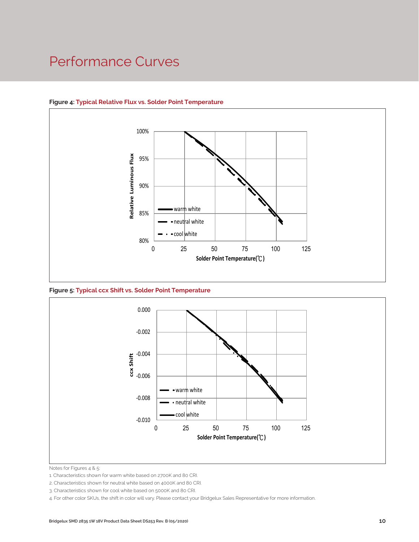### Performance Curves



#### **Figure 4: Typical Relative Flux vs. Solder Point Temperature**





Notes for Figures 4 & 5:

2. Characteristics shown for neutral white based on 4000K and 80 CRI.

4. For other color SKUs, the shift in color will vary. Please contact your Bridgelux Sales Representative for more information.

<sup>1.</sup> Characteristics shown for warm white based on 2700K and 80 CRI.

<sup>3.</sup> Characteristics shown for cool white based on 5000K and 80 CRI.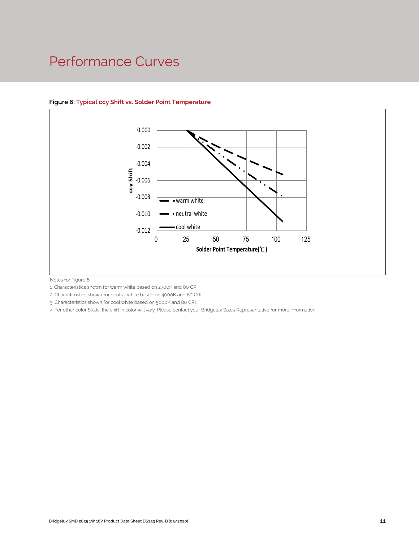### Performance Curves



#### **Figure 6: Typical ccy Shift vs. Solder Point Temperature**

Notes for Figure 6:

1. Characteristics shown for warm white based on 2700K and 80 CRI.

2. Characteristics shown for neutral white based on 4000K and 80 CRI.

3. Characteristics shown for cool white based on 5000K and 80 CRI.

4. For other color SKUs, the shift in color will vary. Please contact your Bridgelux Sales Representative for more information.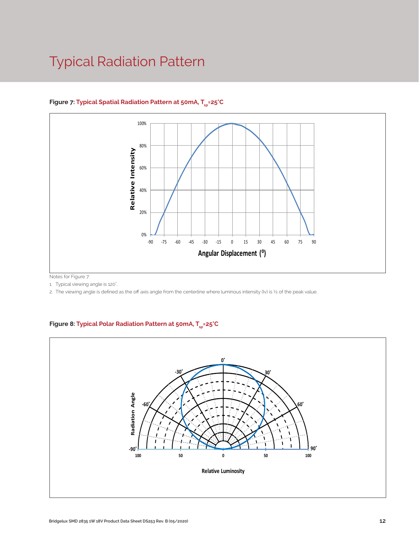# Typical Radiation Pattern



#### Figure 7: Typical Spatial Radiation Pattern at 50mA, T<sub>sp</sub>=25°C

Notes for Figure 7:

1. Typical viewing angle is 120°. .

2. The viewing angle is defined as the off axis angle from the centerline where luminous intensity (Iv) is ½ of the peak value.

#### Figure 8: Typical Polar Radiation Pattern at 50mA, T<sub>sp</sub>=25°C

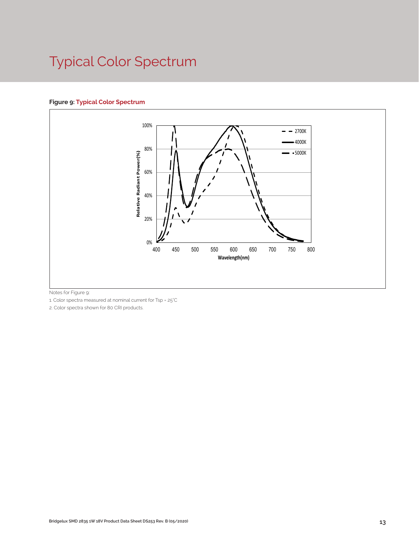# Typical Color Spectrum

#### **Figure 9: Typical Color Spectrum**



Notes for Figure 9:

1. Color spectra measured at nominal current for Tsp = 25°C

2. Color spectra shown for 80 CRI products.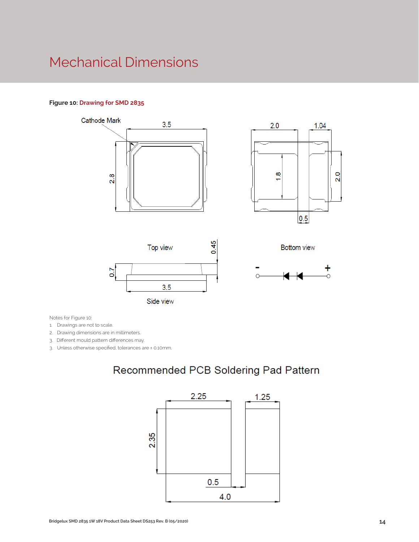### Mechanical Dimensions

#### **Figure 10: Drawing for SMD 2835**



1.04

 $2.0$ 

 $\overline{a}$ 



3.5

Notes for Figure 10:

1. Drawings are not to scale.

2. Drawing dimensions are in millimeters.

3. Different mould pattern differences may.

3. Unless otherwise specified, tolerances are ± 0.10mm.

### Recommended PCB Soldering Pad Pattern

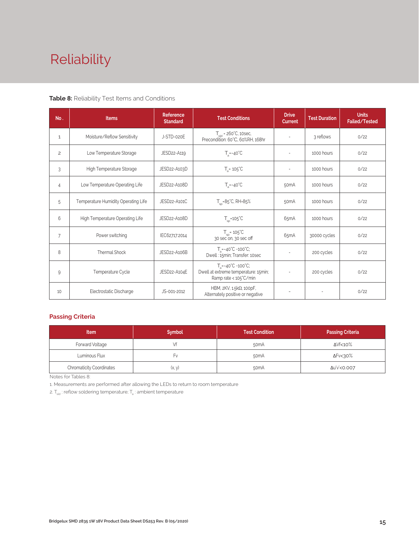# Reliability

#### **Table 8:** Reliability Test Items and Conditions

| No.            | <b>Items</b>                        | <b>Reference</b><br><b>Standard</b> | <b>Test Conditions</b>                                                                                 | <b>Drive</b><br><b>Current</b> | <b>Test Duration</b> | <b>Units</b><br>Failed/Tested |
|----------------|-------------------------------------|-------------------------------------|--------------------------------------------------------------------------------------------------------|--------------------------------|----------------------|-------------------------------|
| 1              | Moisture/Reflow Sensitivity         | J-STD-020E                          | $T_{\text{cld}}$ = 260°C, 10sec,<br>Precondition: 60°C, 60%RH, 168hr                                   | $\sim$                         | 3 reflows            | 0/22                          |
| $\overline{c}$ | Low Temperature Storage             | JESD22-A119                         | $T_a = -40^{\circ}C$                                                                                   | $\bar{a}$                      | 1000 hours           | 0/22                          |
| 3              | High Temperature Storage            | JESD22-A103D                        | $T_a = 105^{\circ}C$                                                                                   | $\sim$                         | 1000 hours           | 0/22                          |
| 4              | Low Temperature Operating Life      | JESD22-A108D                        | $T_s = -40^{\circ}C$                                                                                   | 50 <sub>m</sub> A              | 1000 hours           | 0/22                          |
| 5              | Temperature Humidity Operating Life | JESD22-A101C                        | $T_{SD} = 85^{\circ}$ C, RH=85%                                                                        | 50 <sub>m</sub> A              | 1000 hours           | 0/22                          |
| 6              | High Temperature Operating Life     | JESD22-A108D                        | $T_{\rm sn}$ =105°C                                                                                    | 65 <sub>m</sub> A              | 1000 hours           | 0/22                          |
| $\overline{7}$ | Power switching                     | IEC62717:2014                       | $T_{SD} = 105^{\circ}C$<br>30 sec on, 30 sec off                                                       | 65 <sub>m</sub> A              | 30000 cycles         | 0/22                          |
| 8              | <b>Thermal Shock</b>                | JESD22-A106B                        | $T_a = -40^{\circ}C - 100^{\circ}C$ ;<br>Dwell: 15min; Transfer: 10sec                                 | $\sim$                         | 200 cycles           | 0/22                          |
| 9              | Temperature Cycle<br>JESD22-A104E   |                                     | $T_a = -40^{\circ}C - 100^{\circ}C$ ;<br>Dwell at extreme temperature: 15min;<br>Ramp rate < 105°C/min |                                | 200 cycles           | 0/22                          |
| 10             | Electrostatic Discharge             | JS-001-2012                         | HBM, $2KV$ , $1.5k\Omega$ , 100pF,<br>Alternately positive or negative                                 | $\overline{\phantom{a}}$       |                      | 0/22                          |

#### **Passing Criteria**

| <b>Item</b>                     | <b>Symbol</b> | <b>Test Condition</b> | <b>Passing Criteria</b> |
|---------------------------------|---------------|-----------------------|-------------------------|
| Forward Voltage                 |               | 50 <sub>m</sub> A     | ΔVf<10%                 |
| Luminous Flux                   | ۲v            | 50 <sub>m</sub> A     | ΔFν<30%                 |
| <b>Chromaticity Coordinates</b> | (x, y)        | 50 <sub>m</sub> A     | Δu'v'<0.007             |

Notes for Tables 8:

1. Measurements are performed after allowing the LEDs to return to room temperature

2.  $T_{\scriptscriptstyle \rm std}$  : reflow soldering temperature;  $T_{\scriptscriptstyle \rm a}$  : ambient temperature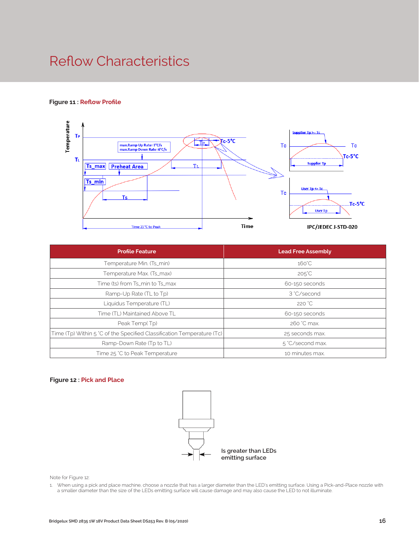# Reflow Characteristics

#### **Figure 11 : Reflow Profile**



| <b>Profile Feature</b>                                                 | <b>Lead Free Assembly</b> |  |  |  |
|------------------------------------------------------------------------|---------------------------|--|--|--|
| Temperature Min. (Ts_min)                                              | $160^{\circ}$ C           |  |  |  |
| Temperature Max. (Ts_max)                                              | $205^{\circ}$ C           |  |  |  |
| Time (ts) from Ts_min to Ts_max                                        | 60-150 seconds            |  |  |  |
| Ramp-Up Rate (TL to Tp)                                                | 3 °C/second               |  |  |  |
| Liquidus Temperature (TL)                                              | 220 °C                    |  |  |  |
| Time (TL) Maintained Above TL                                          | 60-150 seconds            |  |  |  |
| Peak Temp(Tp)                                                          | 260 °C max.               |  |  |  |
| Time (Tp) Within 5 °C of the Specified Classification Temperature (Tc) | 25 seconds max.           |  |  |  |
| Ramp-Down Rate (Tp to TL)                                              | 5 °C/second max.          |  |  |  |
| Time 25 °C to Peak Temperature                                         | 10 minutes max.           |  |  |  |

#### **Figure 12 : Pick and Place**



Note for Figure 12:

1. When using a pick and place machine, choose a nozzle that has a larger diameter than the LED's emitting surface. Using a Pick-and-Place nozzle with a smaller diameter than the size of the LEDs emitting surface will cause damage and may also cause the LED to not illuminate.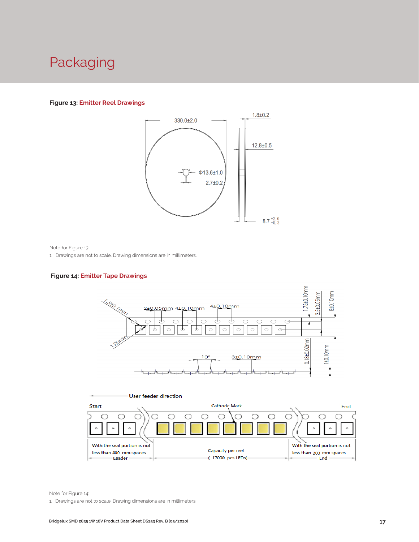### Packaging

#### **Figure 13: Emitter Reel Drawings**



Note for Figure 13:

1. Drawings are not to scale. Drawing dimensions are in millimeters.

#### **Figure 14: Emitter Tape Drawings**





Note for Figure 14:

1. Drawings are not to scale. Drawing dimensions are in millimeters.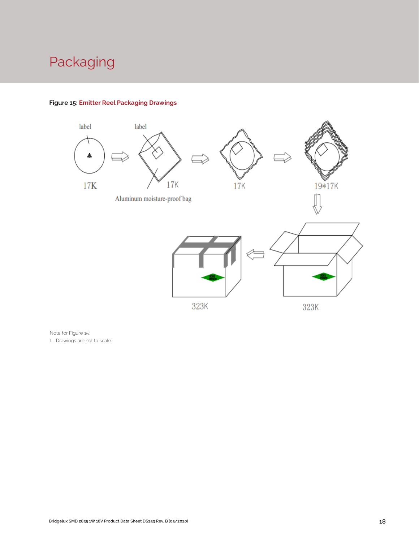# Packaging



#### **Figure 15: Emitter Reel Packaging Drawings**

Note for Figure 15:

1. Drawings are not to scale.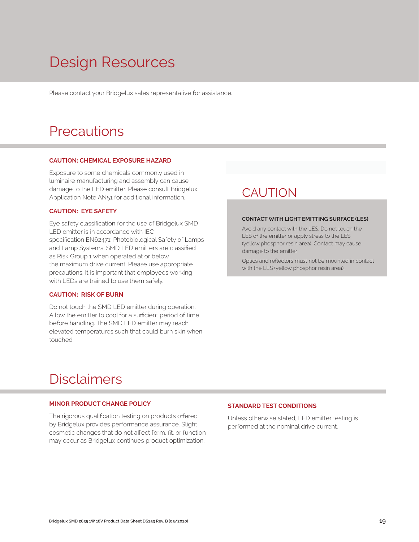# Design Resources

Please contact your Bridgelux sales representative for assistance.

### **Precautions**

#### **CAUTION: CHEMICAL EXPOSURE HAZARD**

Exposure to some chemicals commonly used in luminaire manufacturing and assembly can cause damage to the LED emitter. Please consult Bridgelux Application Note AN51 for additional information.

#### **CAUTION: EYE SAFETY**

Eye safety classification for the use of Bridgelux SMD LED emitter is in accordance with IEC specification EN62471: Photobiological Safety of Lamps and Lamp Systems. SMD LED emitters are classified as Risk Group 1 when operated at or below the maximum drive current. Please use appropriate precautions. It is important that employees working with LEDs are trained to use them safely.

#### **CAUTION: RISK OF BURN**

Do not touch the SMD LED emitter during operation. Allow the emitter to cool for a sufficient period of time before handling. The SMD LED emitter may reach elevated temperatures such that could burn skin when touched.

### **CAUTION**

#### **CONTACT WITH LIGHT EMITTING SURFACE (LES)**

Avoid any contact with the LES. Do not touch the LES of the emitter or apply stress to the LES (yellow phosphor resin area). Contact may cause damage to the emitter

Optics and reflectors must not be mounted in contact with the LES (yellow phosphor resin area).

### Disclaimers

#### **MINOR PRODUCT CHANGE POLICY**

The rigorous qualification testing on products offered by Bridgelux provides performance assurance. Slight cosmetic changes that do not affect form, fit, or function may occur as Bridgelux continues product optimization.

#### **STANDARD TEST CONDITIONS**

Unless otherwise stated, LED emitter testing is performed at the nominal drive current.